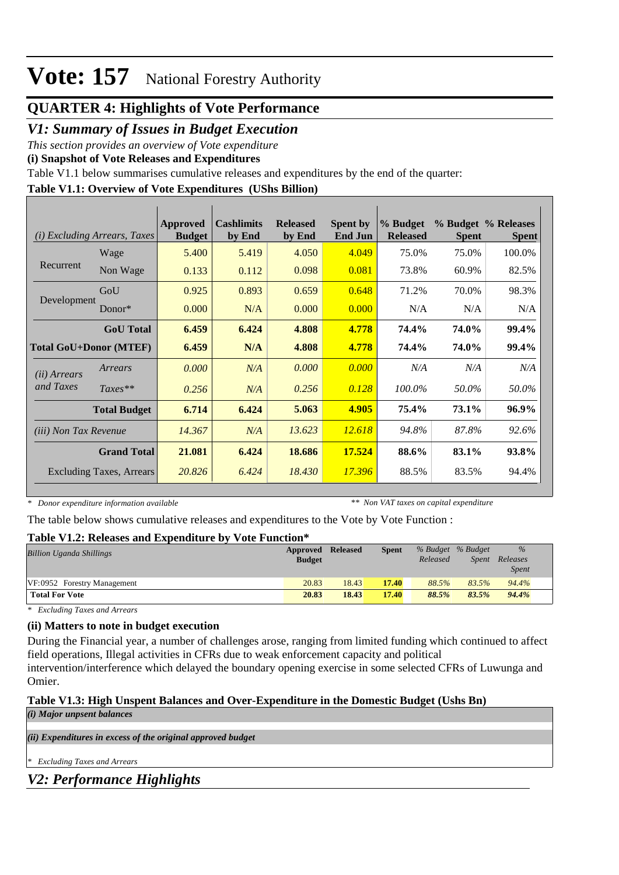## **QUARTER 4: Highlights of Vote Performance**

## *V1: Summary of Issues in Budget Execution*

*This section provides an overview of Vote expenditure* 

**(i) Snapshot of Vote Releases and Expenditures**

Table V1.1 below summarises cumulative releases and expenditures by the end of the quarter:

### **Table V1.1: Overview of Vote Expenditures (UShs Billion)**

| <b>Excluding Arrears, Taxes</b><br>(i) |                     | Approved<br><b>Budget</b> | <b>Cashlimits</b><br>by End | <b>Released</b><br>by End | <b>Spent by</b><br><b>End Jun</b> | % Budget<br><b>Released</b> | <b>Spent</b> | % Budget % Releases<br><b>Spent</b> |
|----------------------------------------|---------------------|---------------------------|-----------------------------|---------------------------|-----------------------------------|-----------------------------|--------------|-------------------------------------|
|                                        | Wage                | 5.400                     | 5.419                       | 4.050                     | 4.049                             | 75.0%                       | 75.0%        | 100.0%                              |
| Recurrent                              | Non Wage            | 0.133                     | 0.112                       | 0.098                     | 0.081                             | 73.8%                       | 60.9%        | 82.5%                               |
|                                        | GoU                 | 0.925                     | 0.893                       | 0.659                     | 0.648                             | 71.2%                       | 70.0%        | 98.3%                               |
| Development                            | $Donor*$            | 0.000                     | N/A                         | 0.000                     | 0.000                             | N/A                         | N/A          | N/A                                 |
|                                        | <b>GoU</b> Total    | 6.459                     | 6.424                       | 4.808                     | 4.778                             | 74.4%                       | 74.0%        | 99.4%                               |
| <b>Total GoU+Donor (MTEF)</b>          |                     | 6.459                     | N/A                         | 4.808                     | 4.778                             | 74.4%                       | <b>74.0%</b> | 99.4%                               |
| ( <i>ii</i> ) Arrears                  | Arrears             | 0.000                     | N/A                         | 0.000                     | 0.000                             | N/A                         | N/A          | N/A                                 |
| and Taxes                              | $Taxes**$           | 0.256                     | N/A                         | 0.256                     | 0.128                             | 100.0%                      | 50.0%        | 50.0%                               |
|                                        | <b>Total Budget</b> | 6.714                     | 6.424                       | 5.063                     | 4.905                             | 75.4%                       | 73.1%        | 96.9%                               |
| <i>(iii)</i> Non Tax Revenue           |                     | 14.367                    | N/A                         | 13.623                    | 12.618                            | 94.8%                       | 87.8%        | 92.6%                               |
|                                        | <b>Grand Total</b>  | 21.081                    | 6.424                       | 18.686                    | 17.524                            | 88.6%                       | 83.1%        | 93.8%                               |
| <b>Excluding Taxes, Arrears</b>        |                     | 20.826                    | 6.424                       | 18.430                    | 17.396                            | 88.5%                       | 83.5%        | 94.4%                               |

*\* Donor expenditure information available*

*\*\* Non VAT taxes on capital expenditure*

The table below shows cumulative releases and expenditures to the Vote by Vote Function :

#### **Table V1.2: Releases and Expenditure by Vote Function\***

| Billion Uganda Shillings    | Approved      | <b>Released</b> | <b>Spent</b> | % Budget % Budget |       | $\%$                     |  |
|-----------------------------|---------------|-----------------|--------------|-------------------|-------|--------------------------|--|
|                             | <b>Budget</b> |                 |              | Released          | Spent | Releases<br><i>Spent</i> |  |
| VF:0952 Forestry Management | 20.83         | 18.43           | 17.40        | 88.5%             | 83.5% | 94.4%                    |  |
| <b>Total For Vote</b>       | 20.83         | 18.43           | 17.40        | 88.5%             | 83.5% | 94.4%                    |  |

*\* Excluding Taxes and Arrears*

#### **(ii) Matters to note in budget execution**

During the Financial year, a number of challenges arose, ranging from limited funding which continued to affect field operations, Illegal activities in CFRs due to weak enforcement capacity and political

intervention/interference which delayed the boundary opening exercise in some selected CFRs of Luwunga and Omier.

### **Table V1.3: High Unspent Balances and Over-Expenditure in the Domestic Budget (Ushs Bn)**

*(i) Major unpsent balances*

*(ii) Expenditures in excess of the original approved budget*

*\* Excluding Taxes and Arrears*

### *V2: Performance Highlights*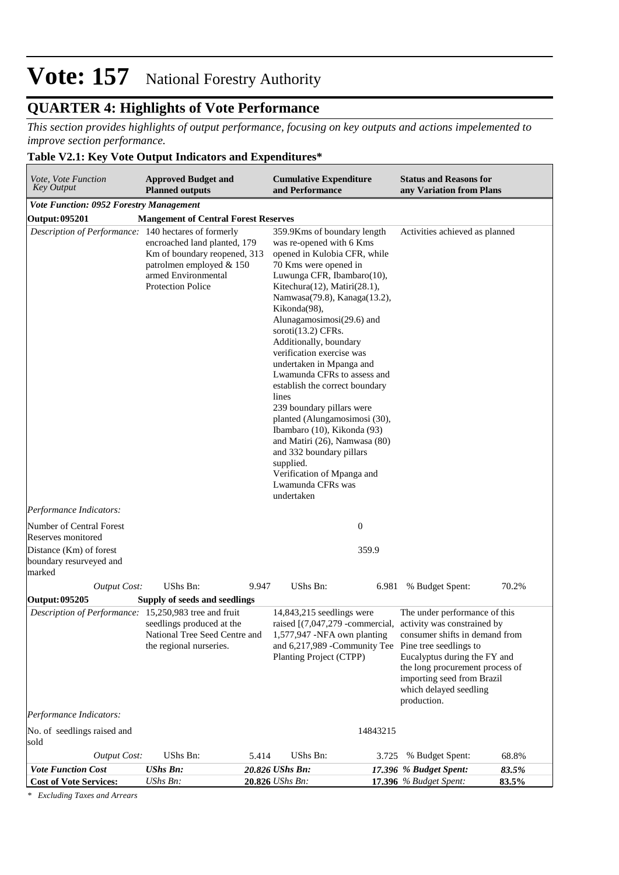## **QUARTER 4: Highlights of Vote Performance**

*This section provides highlights of output performance, focusing on key outputs and actions impelemented to improve section performance.*

### **Table V2.1: Key Vote Output Indicators and Expenditures\***

| Vote, Vote Function<br><b>Key Output</b>                                                                                | <b>Approved Budget and</b><br><b>Planned outputs</b>                                                                                        |       | <b>Cumulative Expenditure</b><br>and Performance                                                                                                                                                                                                                                                                                                                                                                                                                                                                                                                                                                                                                                          |          | <b>Status and Reasons for</b><br>any Variation from Plans                                                                                                                                                                                                                                              |                |
|-------------------------------------------------------------------------------------------------------------------------|---------------------------------------------------------------------------------------------------------------------------------------------|-------|-------------------------------------------------------------------------------------------------------------------------------------------------------------------------------------------------------------------------------------------------------------------------------------------------------------------------------------------------------------------------------------------------------------------------------------------------------------------------------------------------------------------------------------------------------------------------------------------------------------------------------------------------------------------------------------------|----------|--------------------------------------------------------------------------------------------------------------------------------------------------------------------------------------------------------------------------------------------------------------------------------------------------------|----------------|
| <b>Vote Function: 0952 Forestry Management</b>                                                                          |                                                                                                                                             |       |                                                                                                                                                                                                                                                                                                                                                                                                                                                                                                                                                                                                                                                                                           |          |                                                                                                                                                                                                                                                                                                        |                |
| Output: 095201                                                                                                          | <b>Mangement of Central Forest Reserves</b>                                                                                                 |       |                                                                                                                                                                                                                                                                                                                                                                                                                                                                                                                                                                                                                                                                                           |          |                                                                                                                                                                                                                                                                                                        |                |
| Description of Performance: 140 hectares of formerly                                                                    | encroached land planted, 179<br>Km of boundary reopened, 313<br>patrolmen employed & 150<br>armed Environmental<br><b>Protection Police</b> |       | 359.9Kms of boundary length<br>was re-opened with 6 Kms<br>opened in Kulobia CFR, while<br>70 Kms were opened in<br>Luwunga CFR, Ibambaro(10),<br>Kitechura(12), Matiri(28.1),<br>Namwasa(79.8), Kanaga(13.2),<br>Kikonda(98),<br>Alunagamosimosi(29.6) and<br>soroti $(13.2)$ CFRs.<br>Additionally, boundary<br>verification exercise was<br>undertaken in Mpanga and<br>Lwamunda CFRs to assess and<br>establish the correct boundary<br>lines<br>239 boundary pillars were<br>planted (Alungamosimosi (30),<br>Ibambaro (10), Kikonda (93)<br>and Matiri (26), Namwasa (80)<br>and 332 boundary pillars<br>supplied.<br>Verification of Mpanga and<br>Lwamunda CFRs was<br>undertaken |          | Activities achieved as planned                                                                                                                                                                                                                                                                         |                |
| Performance Indicators:                                                                                                 |                                                                                                                                             |       |                                                                                                                                                                                                                                                                                                                                                                                                                                                                                                                                                                                                                                                                                           |          |                                                                                                                                                                                                                                                                                                        |                |
| Number of Central Forest                                                                                                |                                                                                                                                             |       | $\boldsymbol{0}$                                                                                                                                                                                                                                                                                                                                                                                                                                                                                                                                                                                                                                                                          |          |                                                                                                                                                                                                                                                                                                        |                |
| Reserves monitored                                                                                                      |                                                                                                                                             |       |                                                                                                                                                                                                                                                                                                                                                                                                                                                                                                                                                                                                                                                                                           |          |                                                                                                                                                                                                                                                                                                        |                |
| Distance (Km) of forest<br>boundary resurveyed and<br>marked                                                            |                                                                                                                                             |       | 359.9                                                                                                                                                                                                                                                                                                                                                                                                                                                                                                                                                                                                                                                                                     |          |                                                                                                                                                                                                                                                                                                        |                |
| <b>Output Cost:</b>                                                                                                     | UShs Bn:                                                                                                                                    | 9.947 | UShs Bn:                                                                                                                                                                                                                                                                                                                                                                                                                                                                                                                                                                                                                                                                                  |          | 6.981 % Budget Spent:                                                                                                                                                                                                                                                                                  | 70.2%          |
| Output: 095205                                                                                                          | Supply of seeds and seedlings                                                                                                               |       |                                                                                                                                                                                                                                                                                                                                                                                                                                                                                                                                                                                                                                                                                           |          |                                                                                                                                                                                                                                                                                                        |                |
| Description of Performance: 15,250,983 tree and fruit<br>Performance Indicators:<br>No. of seedlings raised and<br>sold | seedlings produced at the<br>National Tree Seed Centre and<br>the regional nurseries.                                                       |       | $14,843,215$ seedlings were<br>and 6,217,989 - Community Tee Pine tree seedlings to<br>Planting Project (CTPP)                                                                                                                                                                                                                                                                                                                                                                                                                                                                                                                                                                            | 14843215 | The under performance of this<br>raised $[(7,047,279$ -commercial, activity was constrained by<br>1,577,947 -NFA own planting consumer shifts in demand from<br>Eucalyptus during the FY and<br>the long procurement process of<br>importing seed from Brazil<br>which delayed seedling<br>production. |                |
| <b>Output Cost:</b>                                                                                                     | UShs Bn:                                                                                                                                    | 5.414 | UShs Bn:                                                                                                                                                                                                                                                                                                                                                                                                                                                                                                                                                                                                                                                                                  | 3.725    | % Budget Spent:                                                                                                                                                                                                                                                                                        | 68.8%          |
| <b>Vote Function Cost</b><br><b>Cost of Vote Services:</b>                                                              | <b>UShs Bn:</b><br>UShs Bn:                                                                                                                 |       | 20.826 UShs Bn:<br>20.826 <i>UShs Bn</i> :                                                                                                                                                                                                                                                                                                                                                                                                                                                                                                                                                                                                                                                |          | 17.396 % Budget Spent:<br><b>17.396</b> % Budget Spent:                                                                                                                                                                                                                                                | 83.5%<br>83.5% |

*\* Excluding Taxes and Arrears*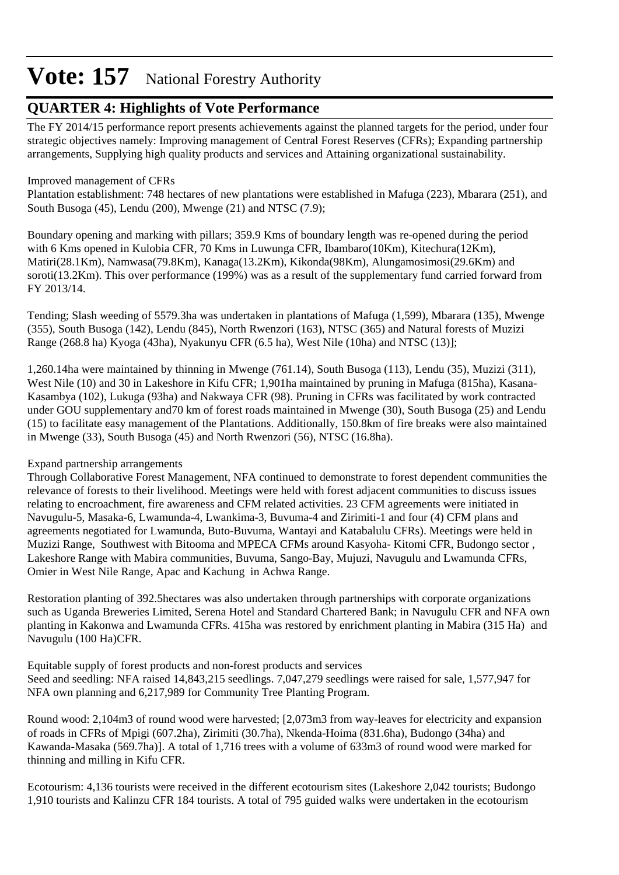## **QUARTER 4: Highlights of Vote Performance**

The FY 2014/15 performance report presents achievements against the planned targets for the period, under four strategic objectives namely: Improving management of Central Forest Reserves (CFRs); Expanding partnership arrangements, Supplying high quality products and services and Attaining organizational sustainability.

### Improved management of CFRs

Plantation establishment: 748 hectares of new plantations were established in Mafuga (223), Mbarara (251), and South Busoga (45), Lendu (200), Mwenge (21) and NTSC (7.9);

Boundary opening and marking with pillars; 359.9 Kms of boundary length was re-opened during the period with 6 Kms opened in Kulobia CFR, 70 Kms in Luwunga CFR, Ibambaro(10Km), Kitechura(12Km), Matiri(28.1Km), Namwasa(79.8Km), Kanaga(13.2Km), Kikonda(98Km), Alungamosimosi(29.6Km) and soroti(13.2Km). This over performance (199%) was as a result of the supplementary fund carried forward from FY 2013/14.

Tending; Slash weeding of 5579.3ha was undertaken in plantations of Mafuga (1,599), Mbarara (135), Mwenge (355), South Busoga (142), Lendu (845), North Rwenzori (163), NTSC (365) and Natural forests of Muzizi Range (268.8 ha) Kyoga (43ha), Nyakunyu CFR (6.5 ha), West Nile (10ha) and NTSC (13)];

1,260.14ha were maintained by thinning in Mwenge (761.14), South Busoga (113), Lendu (35), Muzizi (311), West Nile (10) and 30 in Lakeshore in Kifu CFR; 1,901ha maintained by pruning in Mafuga (815ha), Kasana-Kasambya (102), Lukuga (93ha) and Nakwaya CFR (98). Pruning in CFRs was facilitated by work contracted under GOU supplementary and70 km of forest roads maintained in Mwenge (30), South Busoga (25) and Lendu (15) to facilitate easy management of the Plantations. Additionally, 150.8km of fire breaks were also maintained in Mwenge (33), South Busoga (45) and North Rwenzori (56), NTSC (16.8ha).

## Expand partnership arrangements

Through Collaborative Forest Management, NFA continued to demonstrate to forest dependent communities the relevance of forests to their livelihood. Meetings were held with forest adjacent communities to discuss issues relating to encroachment, fire awareness and CFM related activities. 23 CFM agreements were initiated in Navugulu-5, Masaka-6, Lwamunda-4, Lwankima-3, Buvuma-4 and Zirimiti-1 and four (4) CFM plans and agreements negotiated for Lwamunda, Buto-Buvuma, Wantayi and Katabalulu CFRs). Meetings were held in Muzizi Range, Southwest with Bitooma and MPECA CFMs around Kasyoha- Kitomi CFR, Budongo sector , Lakeshore Range with Mabira communities, Buvuma, Sango-Bay, Mujuzi, Navugulu and Lwamunda CFRs, Omier in West Nile Range, Apac and Kachung in Achwa Range.

Restoration planting of 392.5hectares was also undertaken through partnerships with corporate organizations such as Uganda Breweries Limited, Serena Hotel and Standard Chartered Bank; in Navugulu CFR and NFA own planting in Kakonwa and Lwamunda CFRs. 415ha was restored by enrichment planting in Mabira (315 Ha) and Navugulu (100 Ha)CFR.

Equitable supply of forest products and non-forest products and services Seed and seedling: NFA raised 14,843,215 seedlings. 7,047,279 seedlings were raised for sale, 1,577,947 for NFA own planning and 6,217,989 for Community Tree Planting Program.

Round wood: 2,104m3 of round wood were harvested; [2,073m3 from way-leaves for electricity and expansion of roads in CFRs of Mpigi (607.2ha), Zirimiti (30.7ha), Nkenda-Hoima (831.6ha), Budongo (34ha) and Kawanda-Masaka (569.7ha)]. A total of 1,716 trees with a volume of 633m3 of round wood were marked for thinning and milling in Kifu CFR.

Ecotourism: 4,136 tourists were received in the different ecotourism sites (Lakeshore 2,042 tourists; Budongo 1,910 tourists and Kalinzu CFR 184 tourists. A total of 795 guided walks were undertaken in the ecotourism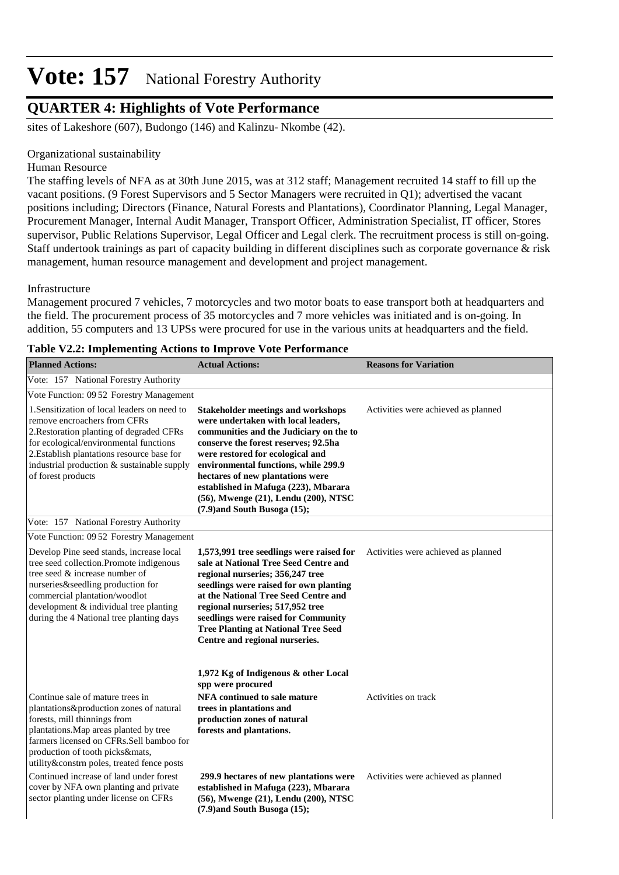## **QUARTER 4: Highlights of Vote Performance**

sites of Lakeshore (607), Budongo (146) and Kalinzu- Nkombe (42).

#### Organizational sustainability

Human Resource

The staffing levels of NFA as at 30th June 2015, was at 312 staff; Management recruited 14 staff to fill up the vacant positions. (9 Forest Supervisors and 5 Sector Managers were recruited in Q1); advertised the vacant positions including; Directors (Finance, Natural Forests and Plantations), Coordinator Planning, Legal Manager, Procurement Manager, Internal Audit Manager, Transport Officer, Administration Specialist, IT officer, Stores supervisor, Public Relations Supervisor, Legal Officer and Legal clerk. The recruitment process is still on-going. Staff undertook trainings as part of capacity building in different disciplines such as corporate governance & risk management, human resource management and development and project management.

#### Infrastructure

Management procured 7 vehicles, 7 motorcycles and two motor boats to ease transport both at headquarters and the field. The procurement process of 35 motorcycles and 7 more vehicles was initiated and is on-going. In addition, 55 computers and 13 UPSs were procured for use in the various units at headquarters and the field.

| <b>Planned Actions:</b>                                                                                                                                                                                                                                                              | <b>Actual Actions:</b>                                                                                                                                                                                                                                                                                                                                                                                   | <b>Reasons for Variation</b>        |
|--------------------------------------------------------------------------------------------------------------------------------------------------------------------------------------------------------------------------------------------------------------------------------------|----------------------------------------------------------------------------------------------------------------------------------------------------------------------------------------------------------------------------------------------------------------------------------------------------------------------------------------------------------------------------------------------------------|-------------------------------------|
| Vote: 157 National Forestry Authority                                                                                                                                                                                                                                                |                                                                                                                                                                                                                                                                                                                                                                                                          |                                     |
| Vote Function: 09 52 Forestry Management                                                                                                                                                                                                                                             |                                                                                                                                                                                                                                                                                                                                                                                                          |                                     |
| 1. Sensitization of local leaders on need to<br>remove encroachers from CFRs<br>2. Restoration planting of degraded CFRs<br>for ecological/environmental functions<br>2. Establish plantations resource base for<br>industrial production & sustainable supply<br>of forest products | <b>Stakeholder meetings and workshops</b><br>were undertaken with local leaders,<br>communities and the Judiciary on the to<br>conserve the forest reserves; 92.5ha<br>were restored for ecological and<br>environmental functions, while 299.9<br>hectares of new plantations were<br>established in Mafuga (223), Mbarara<br>(56), Mwenge (21), Lendu (200), NTSC<br>$(7.9)$ and South Busoga $(15)$ ; | Activities were achieved as planned |
| Vote: 157 National Forestry Authority                                                                                                                                                                                                                                                |                                                                                                                                                                                                                                                                                                                                                                                                          |                                     |
| Vote Function: 09 52 Forestry Management                                                                                                                                                                                                                                             |                                                                                                                                                                                                                                                                                                                                                                                                          |                                     |
| Develop Pine seed stands, increase local<br>tree seed collection.Promote indigenous<br>tree seed & increase number of<br>nurseries&seedling production for<br>commercial plantation/woodlot<br>development & individual tree planting<br>during the 4 National tree planting days    | 1,573,991 tree seedlings were raised for<br>sale at National Tree Seed Centre and<br>regional nurseries; 356,247 tree<br>seedlings were raised for own planting<br>at the National Tree Seed Centre and<br>regional nurseries; 517,952 tree<br>seedlings were raised for Community<br><b>Tree Planting at National Tree Seed</b><br>Centre and regional nurseries.                                       | Activities were achieved as planned |
| Continue sale of mature trees in<br>plantations&production zones of natural<br>forests, mill thinnings from<br>plantations. Map areas planted by tree<br>farmers licensed on CFRs.Sell bamboo for<br>production of tooth picks&mats,                                                 | 1,972 Kg of Indigenous & other Local<br>spp were procured<br><b>NFA</b> continued to sale mature<br>trees in plantations and<br>production zones of natural<br>forests and plantations.                                                                                                                                                                                                                  | Activities on track                 |
| utility&constrn poles, treated fence posts<br>Continued increase of land under forest<br>cover by NFA own planting and private<br>sector planting under license on CFRs                                                                                                              | 299.9 hectares of new plantations were<br>established in Mafuga (223), Mbarara<br>(56), Mwenge (21), Lendu (200), NTSC<br>$(7.9)$ and South Busoga $(15)$ ;                                                                                                                                                                                                                                              | Activities were achieved as planned |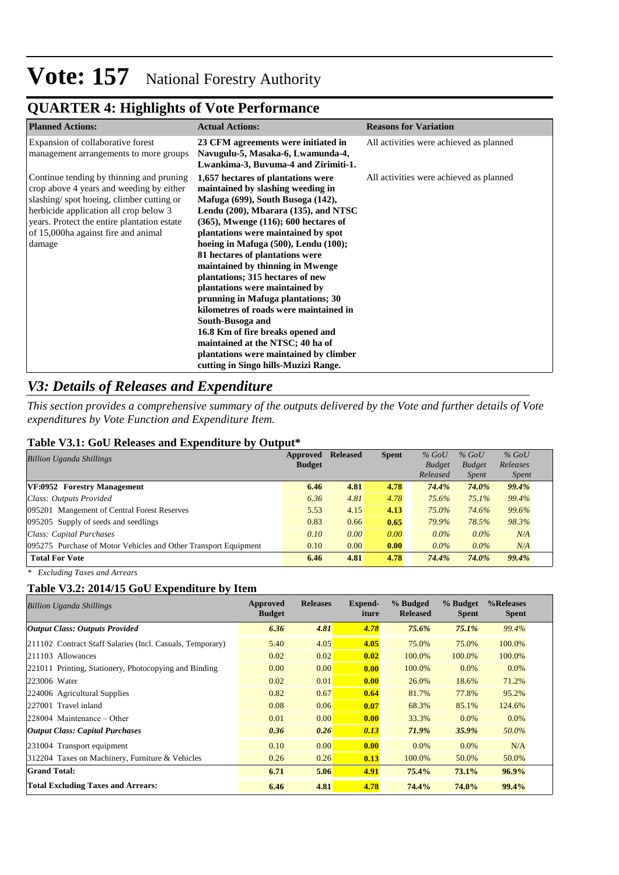## **QUARTER 4: Highlights of Vote Performance**

| <b>Planned Actions:</b>                                                                                                                                                                                                                                                    | <b>Actual Actions:</b>                                                                                                                                                                                                                                                                                                                                                                                                                                                                                                                                                                                                                                                                        | <b>Reasons for Variation</b>            |
|----------------------------------------------------------------------------------------------------------------------------------------------------------------------------------------------------------------------------------------------------------------------------|-----------------------------------------------------------------------------------------------------------------------------------------------------------------------------------------------------------------------------------------------------------------------------------------------------------------------------------------------------------------------------------------------------------------------------------------------------------------------------------------------------------------------------------------------------------------------------------------------------------------------------------------------------------------------------------------------|-----------------------------------------|
| Expansion of collaborative forest<br>management arrangements to more groups                                                                                                                                                                                                | 23 CFM agreements were initiated in<br>Navugulu-5, Masaka-6, Lwamunda-4,<br>Lwankima-3, Buvuma-4 and Zirimiti-1.                                                                                                                                                                                                                                                                                                                                                                                                                                                                                                                                                                              | All activities were achieved as planned |
| Continue tending by thinning and pruning<br>crop above 4 years and weeding by either<br>slashing/spot hoeing, climber cutting or<br>herbicide application all crop below 3<br>years. Protect the entire plantation estate<br>of 15,000ha against fire and animal<br>damage | 1,657 hectares of plantations were<br>maintained by slashing weeding in<br>Mafuga (699), South Busoga (142),<br>Lendu (200), Mbarara (135), and NTSC<br>$(365)$ , Mwenge $(116)$ ; 600 hectares of<br>plantations were maintained by spot<br>hoeing in Mafuga (500), Lendu (100);<br>81 hectares of plantations were<br>maintained by thinning in Mwenge<br>plantations; 315 hectares of new<br>plantations were maintained by<br>prunning in Mafuga plantations; 30<br>kilometres of roads were maintained in<br>South-Busoga and<br>16.8 Km of fire breaks opened and<br>maintained at the NTSC; 40 ha of<br>plantations were maintained by climber<br>cutting in Singo hills-Muzizi Range. | All activities were achieved as planned |

## *V3: Details of Releases and Expenditure*

*This section provides a comprehensive summary of the outputs delivered by the Vote and further details of Vote expenditures by Vote Function and Expenditure Item.*

#### **Table V3.1: GoU Releases and Expenditure by Output\***

| <b>Billion Uganda Shillings</b>                                 | Approved      | <b>Released</b> | <b>Spent</b> | $%$ GoU       | $%$ GoU       | $%$ GoU      |
|-----------------------------------------------------------------|---------------|-----------------|--------------|---------------|---------------|--------------|
|                                                                 | <b>Budget</b> |                 |              | <b>Budget</b> | <b>Budget</b> | Releases     |
|                                                                 |               |                 |              | Released      | <i>Spent</i>  | <i>Spent</i> |
| VF:0952 Forestry Management                                     | 6.46          | 4.81            | 4.78         | 74.4%         | 74.0%         | 99.4%        |
| Class: Outputs Provided                                         | 6.36          | 4.81            | 4.78         | 75.6%         | 75.1%         | 99.4%        |
| 095201 Mangement of Central Forest Reserves                     | 5.53          | 4.15            | 4.13         | 75.0%         | 74.6%         | 99.6%        |
| 095205 Supply of seeds and seedlings                            | 0.83          | 0.66            | 0.65         | 79.9%         | 78.5%         | 98.3%        |
| Class: Capital Purchases                                        | 0.10          | 0.00            | 0.00         | $0.0\%$       | $0.0\%$       | N/A          |
| 095275 Purchase of Motor Vehicles and Other Transport Equipment | 0.10          | 0.00            | 0.00         | $0.0\%$       | $0.0\%$       | N/A          |
| <b>Total For Vote</b>                                           | 6.46          | 4.81            | 4.78         | 74.4%         | 74.0%         | 99.4%        |

*\* Excluding Taxes and Arrears*

### **Table V3.2: 2014/15 GoU Expenditure by Item**

| <b>Billion Uganda Shillings</b>                           | Approved<br><b>Budget</b> | <b>Releases</b> | Expend-<br>iture | % Budged<br><b>Released</b> | % Budget<br><b>Spent</b> | %Releases<br><b>Spent</b> |
|-----------------------------------------------------------|---------------------------|-----------------|------------------|-----------------------------|--------------------------|---------------------------|
| Output Class: Outputs Provided                            | 6.36                      | 4.81            | 4.78             | 75.6%                       | $75.1\%$                 | 99.4%                     |
| 211102 Contract Staff Salaries (Incl. Casuals, Temporary) | 5.40                      | 4.05            | 4.05             | 75.0%                       | 75.0%                    | 100.0%                    |
| 211103 Allowances                                         | 0.02                      | 0.02            | 0.02             | 100.0%                      | 100.0%                   | 100.0%                    |
| 221011 Printing, Stationery, Photocopying and Binding     | 0.00                      | 0.00            | 0.00             | 100.0%                      | 0.0%                     | $0.0\%$                   |
| 223006 Water                                              | 0.02                      | 0.01            | 0.00             | 26.0%                       | 18.6%                    | 71.2%                     |
| 224006 Agricultural Supplies                              | 0.82                      | 0.67            | 0.64             | 81.7%                       | 77.8%                    | 95.2%                     |
| 227001 Travel inland                                      | 0.08                      | 0.06            | 0.07             | 68.3%                       | 85.1%                    | 124.6%                    |
| 228004 Maintenance – Other                                | 0.01                      | 0.00            | 0.00             | 33.3%                       | $0.0\%$                  | $0.0\%$                   |
| <b>Output Class: Capital Purchases</b>                    | 0.36                      | 0.26            | 0.13             | 71.9%                       | 35.9%                    | 50.0%                     |
| 231004 Transport equipment                                | 0.10                      | 0.00            | 0.00             | $0.0\%$                     | $0.0\%$                  | N/A                       |
| 312204 Taxes on Machinery, Furniture & Vehicles           | 0.26                      | 0.26            | 0.13             | 100.0%                      | 50.0%                    | 50.0%                     |
| <b>Grand Total:</b>                                       | 6.71                      | 5.06            | 4.91             | 75.4%                       | 73.1%                    | 96.9%                     |
| <b>Total Excluding Taxes and Arrears:</b>                 | 6.46                      | 4.81            | 4.78             | 74.4%                       | 74.0%                    | 99.4%                     |